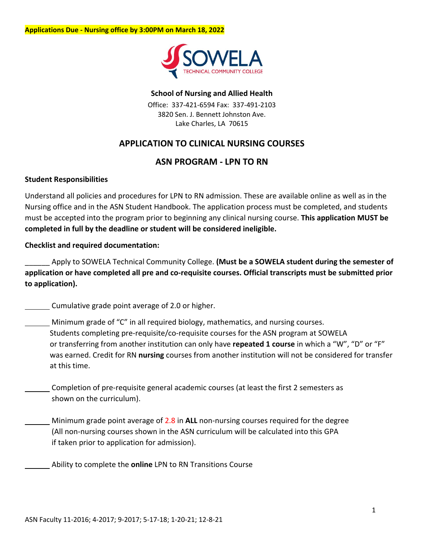

#### **School of Nursing and Allied Health**

Office: 337-421-6594 Fax: 337-491-2103 3820 Sen. J. Bennett Johnston Ave. Lake Charles, LA 70615

### **APPLICATION TO CLINICAL NURSING COURSES**

#### **ASN PROGRAM - LPN TO RN**

#### **Student Responsibilities**

Understand all policies and procedures for LPN to RN admission. These are available online as well as in the Nursing office and in the ASN Student Handbook. The application process must be completed, and students must be accepted into the program prior to beginning any clinical nursing course. **This application MUST be completed in full by the deadline or student will be considered ineligible.** 

#### **Checklist and required documentation:**

\_\_\_\_\_\_ Apply to SOWELA Technical Community College. **(Must be a SOWELA student during the semester of application or have completed all pre and co-requisite courses. Official transcripts must be submitted prior to application).**

Cumulative grade point average of 2.0 or higher.

- Minimum grade of "C" in all required biology, mathematics, and nursing courses. Students completing pre-requisite/co-requisite courses for the ASN program at SOWELA or transferring from another institution can only have **repeated 1 course** in which a "W", "D" or "F" was earned. Credit for RN **nursing** courses from another institution will not be considered for transfer at this time.
- Completion of pre-requisite general academic courses (at least the first 2 semesters as shown on the curriculum).
	- Minimum grade point average of 2.8 in **ALL** non-nursing courses required for the degree (All non-nursing courses shown in the ASN curriculum will be calculated into this GPA if taken prior to application for admission).
		- Ability to complete the **online** LPN to RN Transitions Course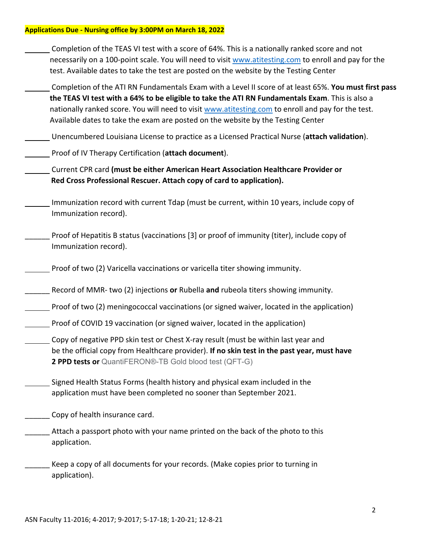| Completion of the TEAS VI test with a score of 64%. This is a nationally ranked score and not<br>necessarily on a 100-point scale. You will need to visit www.atitesting.com to enroll and pay for the<br>test. Available dates to take the test are posted on the website by the Testing Center                                                                                                   |
|----------------------------------------------------------------------------------------------------------------------------------------------------------------------------------------------------------------------------------------------------------------------------------------------------------------------------------------------------------------------------------------------------|
| Completion of the ATI RN Fundamentals Exam with a Level II score of at least 65%. You must first pass<br>the TEAS VI test with a 64% to be eligible to take the ATI RN Fundamentals Exam. This is also a<br>nationally ranked score. You will need to visit www.atitesting.com to enroll and pay for the test.<br>Available dates to take the exam are posted on the website by the Testing Center |
| Unencumbered Louisiana License to practice as a Licensed Practical Nurse (attach validation).                                                                                                                                                                                                                                                                                                      |
| Proof of IV Therapy Certification (attach document).                                                                                                                                                                                                                                                                                                                                               |
| Current CPR card (must be either American Heart Association Healthcare Provider or<br>Red Cross Professional Rescuer. Attach copy of card to application).                                                                                                                                                                                                                                         |
| Immunization record with current Tdap (must be current, within 10 years, include copy of<br>Immunization record).                                                                                                                                                                                                                                                                                  |
| Proof of Hepatitis B status (vaccinations [3] or proof of immunity (titer), include copy of<br>Immunization record).                                                                                                                                                                                                                                                                               |
| Proof of two (2) Varicella vaccinations or varicella titer showing immunity.                                                                                                                                                                                                                                                                                                                       |
| Record of MMR- two (2) injections or Rubella and rubeola titers showing immunity.                                                                                                                                                                                                                                                                                                                  |
| Proof of two (2) meningococcal vaccinations (or signed waiver, located in the application)                                                                                                                                                                                                                                                                                                         |
| Proof of COVID 19 vaccination (or signed waiver, located in the application)                                                                                                                                                                                                                                                                                                                       |
| Copy of negative PPD skin test or Chest X-ray result (must be within last year and<br>be the official copy from Healthcare provider). If no skin test in the past year, must have<br>2 PPD tests or QuantiFERON®-TB Gold blood test (QFT-G)                                                                                                                                                        |
| Signed Health Status Forms (health history and physical exam included in the<br>application must have been completed no sooner than September 2021.                                                                                                                                                                                                                                                |
| Copy of health insurance card.                                                                                                                                                                                                                                                                                                                                                                     |
| Attach a passport photo with your name printed on the back of the photo to this<br>application.                                                                                                                                                                                                                                                                                                    |
| Keep a copy of all documents for your records. (Make copies prior to turning in<br>application).                                                                                                                                                                                                                                                                                                   |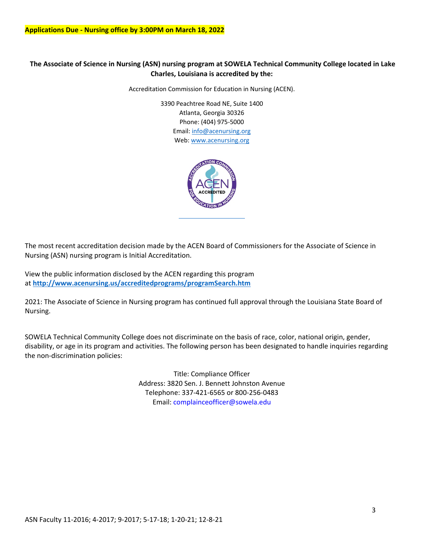#### **The Associate of Science in Nursing (ASN) nursing program at SOWELA Technical Community College located in Lake Charles, Louisiana is accredited by the:**

Accreditation Commission for Education in Nursing (ACEN).

3390 Peachtree Road NE, Suite 1400 Atlanta, Georgia 30326 Phone: (404) 975-5000 Email: [info@acenursing.org](mailto:amariquit@acenursing.org) Web: [www.acenursing.org](http://www.acenursing.org/)



The most recent accreditation decision made by the ACEN Board of Commissioners for the Associate of Science in Nursing (ASN) nursing program is Initial Accreditation.

View the public information disclosed by the ACEN regarding this program at **<http://www.acenursing.us/accreditedprograms/programSearch.htm>**

2021: The Associate of Science in Nursing program has continued full approval through the Louisiana State Board of Nursing.

SOWELA Technical Community College does not discriminate on the basis of race, color, national origin, gender, disability, or age in its program and activities. The following person has been designated to handle inquiries regarding the non-discrimination policies:

> Title: Compliance Officer Address: 3820 Sen. J. Bennett Johnston Avenue Telephone: 337-421-6565 or 800-256-0483 Email: complainceofficer@sowela.edu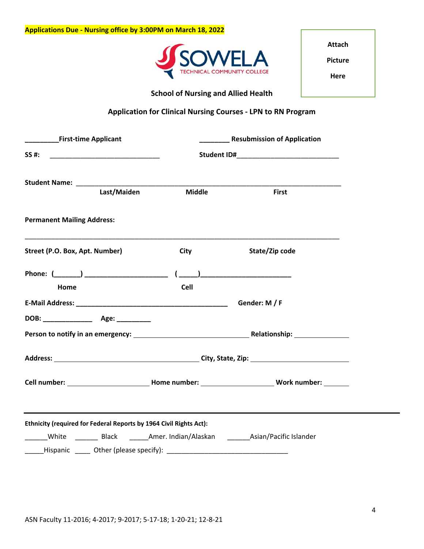

**Attach Picture Here**

### **School of Nursing and Allied Health**

### **Application for Clinical Nursing Courses - LPN to RN Program**

| First-time Applicant                                                                     | <b>Resubmission of Application</b> |                                                                                                          |  |
|------------------------------------------------------------------------------------------|------------------------------------|----------------------------------------------------------------------------------------------------------|--|
| SS #:<br><u> 1999 - Johann Barbara, martin amerikan ba</u>                               |                                    |                                                                                                          |  |
| Last/Maiden                                                                              | <b>Middle</b>                      | <b>First</b>                                                                                             |  |
| <b>Permanent Mailing Address:</b>                                                        |                                    |                                                                                                          |  |
| Street (P.O. Box, Apt. Number)                                                           | City                               | State/Zip code                                                                                           |  |
| Home                                                                                     | Cell                               |                                                                                                          |  |
|                                                                                          |                                    | Gender: M / F                                                                                            |  |
|                                                                                          |                                    |                                                                                                          |  |
|                                                                                          |                                    |                                                                                                          |  |
|                                                                                          |                                    |                                                                                                          |  |
|                                                                                          |                                    | Cell number: _______________________________Home number: ________________________ Work number: _________ |  |
|                                                                                          |                                    |                                                                                                          |  |
| Ethnicity (required for Federal Reports by 1964 Civil Rights Act):                       |                                    |                                                                                                          |  |
| ______White __________Black ________Amer. Indian/Alaskan _________Asian/Pacific Islander |                                    |                                                                                                          |  |
| ______Hispanic ______ Other (please specify): __________________________________         |                                    |                                                                                                          |  |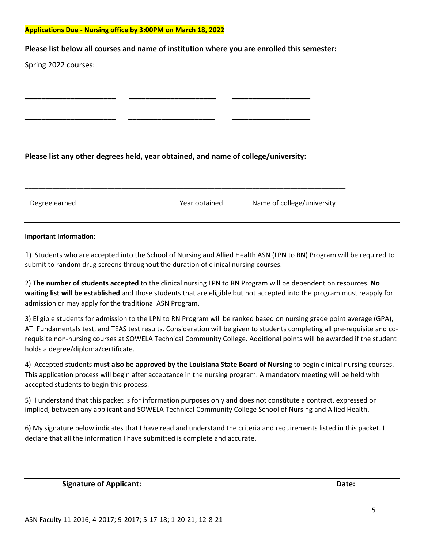#### **Please list below all courses and name of institution where you are enrolled this semester:**

Spring 2022 courses:

#### **Please list any other degrees held, year obtained, and name of college/university:**

**\_\_\_\_\_\_\_\_\_\_\_\_\_\_\_\_\_\_\_\_\_\_ \_\_\_\_\_\_\_\_\_\_\_\_\_\_\_\_\_\_\_\_\_ \_\_\_\_\_\_\_\_\_\_\_\_\_\_\_\_\_\_\_** 

**\_\_\_\_\_\_\_\_\_\_\_\_\_\_\_\_\_\_\_\_\_\_ \_\_\_\_\_\_\_\_\_\_\_\_\_\_\_\_\_\_\_\_\_ \_\_\_\_\_\_\_\_\_\_\_\_\_\_\_\_\_\_\_**

\_\_\_\_\_\_\_\_\_\_\_\_\_\_\_\_\_\_\_\_\_\_\_\_\_\_\_\_\_\_\_\_\_\_\_\_\_\_\_\_\_\_\_\_\_\_\_\_\_\_\_\_\_\_\_\_\_\_\_\_\_\_\_\_\_\_\_\_\_\_\_\_\_\_\_\_\_\_\_\_\_\_\_\_\_\_\_\_\_\_\_\_\_

Degree earned Year obtained Name of college/university

#### **Important Information:**

1) Students who are accepted into the School of Nursing and Allied Health ASN (LPN to RN) Program will be required to submit to random drug screens throughout the duration of clinical nursing courses.

2) **The number of students accepted** to the clinical nursing LPN to RN Program will be dependent on resources. **No waiting list will be established** and those students that are eligible but not accepted into the program must reapply for admission or may apply for the traditional ASN Program.

3) Eligible students for admission to the LPN to RN Program will be ranked based on nursing grade point average (GPA), ATI Fundamentals test, and TEAS test results. Consideration will be given to students completing all pre-requisite and corequisite non-nursing courses at SOWELA Technical Community College. Additional points will be awarded if the student holds a degree/diploma/certificate.

4) Accepted students **must also be approved by the Louisiana State Board of Nursing** to begin clinical nursing courses. This application process will begin after acceptance in the nursing program. A mandatory meeting will be held with accepted students to begin this process.

5) I understand that this packet is for information purposes only and does not constitute a contract, expressed or implied, between any applicant and SOWELA Technical Community College School of Nursing and Allied Health.

6) My signature below indicates that I have read and understand the criteria and requirements listed in this packet. I declare that all the information I have submitted is complete and accurate.

**Signature of Applicant:** Date: Date: Date: Date: Date: Date: Date: Date: Date: Date: Date: Date: Date: Date: Date: Date: Date: Date: Date: Date: Date: Date: Date: Date: Date: Date: Date: Date: Date: Date: Date: Date: Date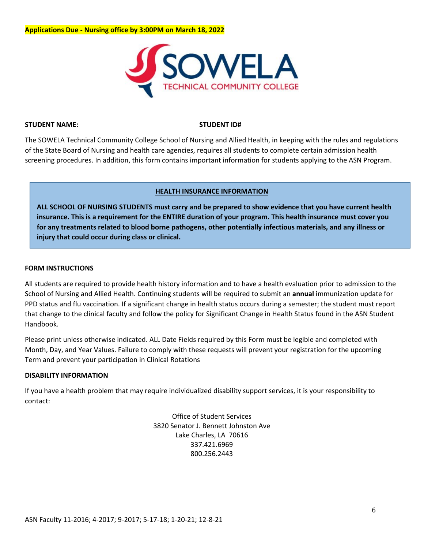

#### **STUDENT NAME: STUDENT ID#**

The SOWELA Technical Community College School of Nursing and Allied Health, in keeping with the rules and regulations of the State Board of Nursing and health care agencies, requires all students to complete certain admission health screening procedures. In addition, this form contains important information for students applying to the ASN Program.

#### **HEALTH INSURANCE INFORMATION**

**ALL SCHOOL OF NURSING STUDENTS must carry and be prepared to show evidence that you have current health insurance. This is a requirement for the ENTIRE duration of your program. This health insurance must cover you for any treatments related to blood borne pathogens, other potentially infectious materials, and any illness or injury that could occur during class or clinical.** 

#### **FORM INSTRUCTIONS**

All students are required to provide health history information and to have a health evaluation prior to admission to the School of Nursing and Allied Health. Continuing students will be required to submit an **annual** immunization update for PPD status and flu vaccination. If a significant change in health status occurs during a semester; the student must report that change to the clinical faculty and follow the policy for Significant Change in Health Status found in the ASN Student Handbook.

Please print unless otherwise indicated. ALL Date Fields required by this Form must be legible and completed with Month, Day, and Year Values. Failure to comply with these requests will prevent your registration for the upcoming Term and prevent your participation in Clinical Rotations

#### **DISABILITY INFORMATION**

If you have a health problem that may require individualized disability support services, it is your responsibility to contact:

> Office of Student Services 3820 Senator J. Bennett Johnston Ave Lake Charles, LA 70616 337.421.6969 800.256.2443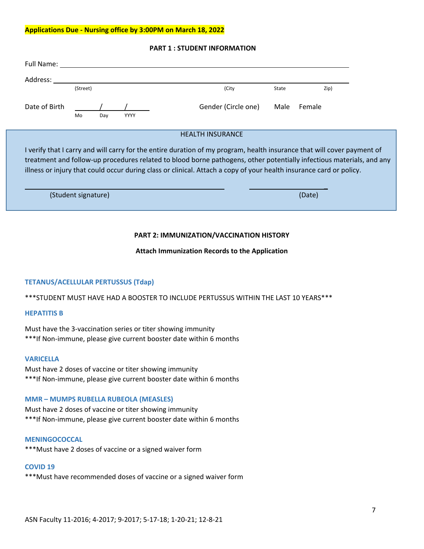| Full Name:                                                                                                                                                                                                                                                                                                                                                             |          |     |             |                         |       |        |
|------------------------------------------------------------------------------------------------------------------------------------------------------------------------------------------------------------------------------------------------------------------------------------------------------------------------------------------------------------------------|----------|-----|-------------|-------------------------|-------|--------|
| Address:                                                                                                                                                                                                                                                                                                                                                               |          |     |             |                         |       |        |
|                                                                                                                                                                                                                                                                                                                                                                        | (Street) |     |             | (City                   | State | Zip)   |
| Date of Birth                                                                                                                                                                                                                                                                                                                                                          | Mo       | Day | <b>YYYY</b> | Gender (Circle one)     | Male  | Female |
|                                                                                                                                                                                                                                                                                                                                                                        |          |     |             | <b>HEALTH INSURANCE</b> |       |        |
| I verify that I carry and will carry for the entire duration of my program, health insurance that will cover payment of<br>treatment and follow-up procedures related to blood borne pathogens, other potentially infectious materials, and any<br>illness or injury that could occur during class or clinical. Attach a copy of your health insurance card or policy. |          |     |             |                         |       |        |

#### **PART 1 : STUDENT INFORMATION**

| (Student signature) | (Date) |
|---------------------|--------|

#### **PART 2: IMMUNIZATION/VACCINATION HISTORY**

#### **Attach Immunization Records to the Application**

#### **TETANUS/ACELLULAR PERTUSSUS (Tdap)**

\*\*\*STUDENT MUST HAVE HAD A BOOSTER TO INCLUDE PERTUSSUS WITHIN THE LAST 10 YEARS\*\*\*

#### **HEPATITIS B**

Must have the 3-vaccination series or titer showing immunity \*\*\*If Non-immune, please give current booster date within 6 months

#### **VARICELLA**

Must have 2 doses of vaccine or titer showing immunity \*\*\*If Non-immune, please give current booster date within 6 months

#### **MMR – MUMPS RUBELLA RUBEOLA (MEASLES)**

Must have 2 doses of vaccine or titer showing immunity \*\*\*If Non-immune, please give current booster date within 6 months

#### **MENINGOCOCCAL**

\*\*\*Must have 2 doses of vaccine or a signed waiver form

#### **COVID 19**

\*\*\*Must have recommended doses of vaccine or a signed waiver form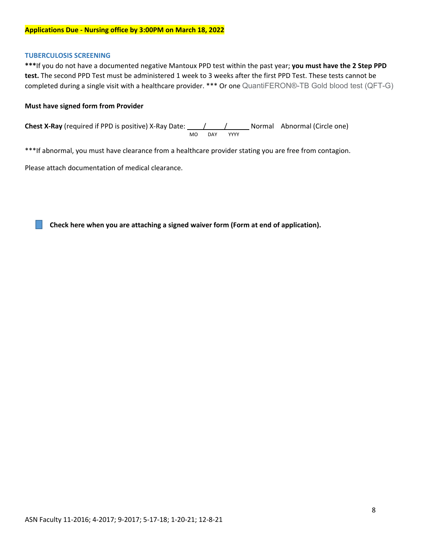#### **TUBERCULOSIS SCREENING**

**\*\*\***If you do not have a documented negative Mantoux PPD test within the past year; **you must have the 2 Step PPD test.** The second PPD Test must be administered 1 week to 3 weeks after the first PPD Test. These tests cannot be completed during a single visit with a healthcare provider. \*\*\* Or one QuantiFERON®-TB Gold blood test (QFT-G)

#### **Must have signed form from Provider**

**Chest X-Ray** (required if PPD is positive) X-Ray Date:  $\frac{1}{\sqrt{1-\frac{1}{\sqrt{1-\frac{1}{\sqrt{1-\frac{1}{\sqrt{1-\frac{1}{\sqrt{1-\frac{1}{\sqrt{1-\frac{1}{\sqrt{1-\frac{1}{\sqrt{1-\frac{1}{\sqrt{1-\frac{1}{\sqrt{1-\frac{1}{\sqrt{1-\frac{1}{\sqrt{1-\frac{1}{\sqrt{1-\frac{1}{\sqrt{1-\frac{1}{\sqrt{1-\frac{1}{\sqrt{1-\frac{1}{\sqrt{1-\frac{1}{\sqrt{1-\frac{$ MO DAY YYYY

\*\*\*If abnormal, you must have clearance from a healthcare provider stating you are free from contagion.

Please attach documentation of medical clearance.

**Check here when you are attaching a signed waiver form (Form at end of application).**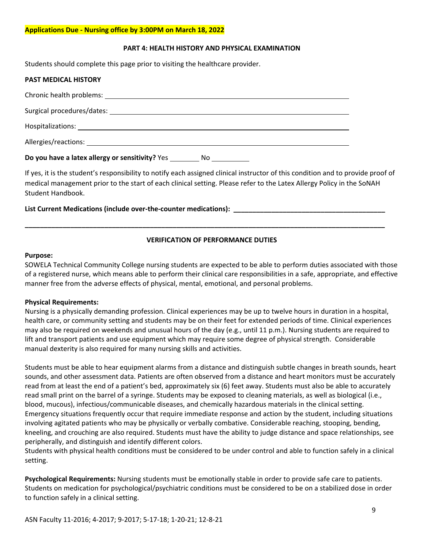#### **PART 4: HEALTH HISTORY AND PHYSICAL EXAMINATION**

Students should complete this page prior to visiting the healthcare provider.

| Do you have a latex allergy or sensitivity? Yes<br>No _______ |
|---------------------------------------------------------------|
|                                                               |
|                                                               |
|                                                               |
|                                                               |
| <b>PAST MEDICAL HISTORY</b>                                   |

If yes, it is the student's responsibility to notify each assigned clinical instructor of this condition and to provide proof of medical management prior to the start of each clinical setting. Please refer to the Latex Allergy Policy in the SoNAH Student Handbook.

List Current Medications (include over-the-counter medications):

#### **VERIFICATION OF PERFORMANCE DUTIES**

**\_\_\_\_\_\_\_\_\_\_\_\_\_\_\_\_\_\_\_\_\_\_\_\_\_\_\_\_\_\_\_\_\_\_\_\_\_\_\_\_\_\_\_\_\_\_\_\_\_\_\_\_\_\_\_\_\_\_\_\_\_\_\_\_\_\_\_\_\_\_\_\_\_\_\_\_\_\_\_\_\_\_\_\_\_\_\_\_\_\_\_\_\_\_\_**

#### **Purpose:**

SOWELA Technical Community College nursing students are expected to be able to perform duties associated with those of a registered nurse, which means able to perform their clinical care responsibilities in a safe, appropriate, and effective manner free from the adverse effects of physical, mental, emotional, and personal problems.

#### **Physical Requirements:**

Nursing is a physically demanding profession. Clinical experiences may be up to twelve hours in duration in a hospital, health care, or community setting and students may be on their feet for extended periods of time. Clinical experiences may also be required on weekends and unusual hours of the day (e.g., until 11 p.m.). Nursing students are required to lift and transport patients and use equipment which may require some degree of physical strength. Considerable manual dexterity is also required for many nursing skills and activities.

Students must be able to hear equipment alarms from a distance and distinguish subtle changes in breath sounds, heart sounds, and other assessment data. Patients are often observed from a distance and heart monitors must be accurately read from at least the end of a patient's bed, approximately six (6) feet away. Students must also be able to accurately read small print on the barrel of a syringe. Students may be exposed to cleaning materials, as well as biological (i.e., blood, mucous), infectious/communicable diseases, and chemically hazardous materials in the clinical setting. Emergency situations frequently occur that require immediate response and action by the student, including situations involving agitated patients who may be physically or verbally combative. Considerable reaching, stooping, bending, kneeling, and crouching are also required. Students must have the ability to judge distance and space relationships, see peripherally, and distinguish and identify different colors.

Students with physical health conditions must be considered to be under control and able to function safely in a clinical setting.

**Psychological Requirements:** Nursing students must be emotionally stable in order to provide safe care to patients. Students on medication for psychological/psychiatric conditions must be considered to be on a stabilized dose in order to function safely in a clinical setting.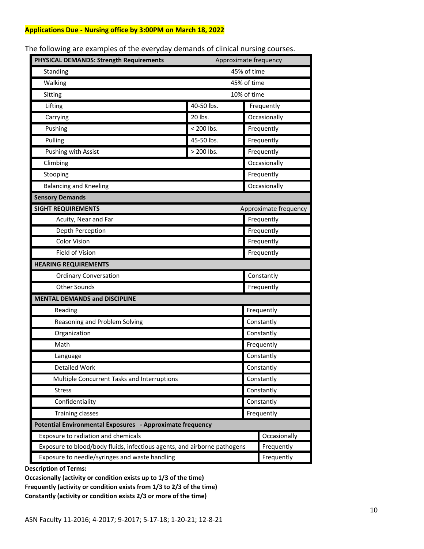| PHYSICAL DEMANDS: Strength Requirements<br>Approximate frequency         |             |              |                       |  |
|--------------------------------------------------------------------------|-------------|--------------|-----------------------|--|
| Standing                                                                 | 45% of time |              |                       |  |
| Walking                                                                  | 45% of time |              |                       |  |
| Sitting                                                                  | 10% of time |              |                       |  |
| Lifting                                                                  | 40-50 lbs.  |              | Frequently            |  |
| Carrying                                                                 | 20 lbs.     | Occasionally |                       |  |
| Pushing                                                                  | < 200 lbs.  |              | Frequently            |  |
| Pulling                                                                  | 45-50 lbs.  | Frequently   |                       |  |
| Pushing with Assist                                                      | > 200 lbs.  |              | Frequently            |  |
| Climbing                                                                 |             |              | Occasionally          |  |
| Stooping                                                                 |             |              | Frequently            |  |
| <b>Balancing and Kneeling</b>                                            |             |              | Occasionally          |  |
| <b>Sensory Demands</b>                                                   |             |              |                       |  |
| <b>SIGHT REQUIREMENTS</b>                                                |             |              | Approximate frequency |  |
| Acuity, Near and Far                                                     |             |              | Frequently            |  |
| Depth Perception                                                         |             | Frequently   |                       |  |
| <b>Color Vision</b>                                                      |             |              | Frequently            |  |
| Field of Vision                                                          |             |              | Frequently            |  |
| <b>HEARING REQUIREMENTS</b>                                              |             |              |                       |  |
| <b>Ordinary Conversation</b>                                             |             |              | Constantly            |  |
| <b>Other Sounds</b>                                                      |             |              | Frequently            |  |
| <b>MENTAL DEMANDS and DISCIPLINE</b>                                     |             |              |                       |  |
| Reading                                                                  |             |              | Frequently            |  |
| Reasoning and Problem Solving                                            |             |              | Constantly            |  |
| Organization                                                             |             |              | Constantly            |  |
| Math                                                                     |             |              | Frequently            |  |
| Language                                                                 |             |              | Constantly            |  |
| <b>Detailed Work</b>                                                     |             |              | Constantly            |  |
| Multiple Concurrent Tasks and Interruptions                              |             |              | Constantly            |  |
| <b>Stress</b>                                                            |             |              | Constantly            |  |
| Confidentiality                                                          |             |              | Constantly            |  |
| <b>Training classes</b>                                                  |             |              | Frequently            |  |
| Potential Environmental Exposures - Approximate frequency                |             |              |                       |  |
| Exposure to radiation and chemicals                                      |             |              | Occasionally          |  |
| Exposure to blood/body fluids, infectious agents, and airborne pathogens |             |              | Frequently            |  |
| Exposure to needle/syringes and waste handling                           |             |              | Frequently            |  |

The following are examples of the everyday demands of clinical nursing courses.

**Description of Terms:**

**Occasionally (activity or condition exists up to 1/3 of the time) Frequently (activity or condition exists from 1/3 to 2/3 of the time) Constantly (activity or condition exists 2/3 or more of the time)**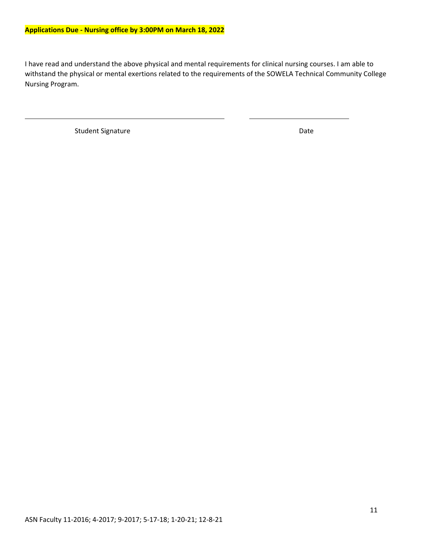I have read and understand the above physical and mental requirements for clinical nursing courses. I am able to withstand the physical or mental exertions related to the requirements of the SOWELA Technical Community College Nursing Program.

Student Signature Date Date Date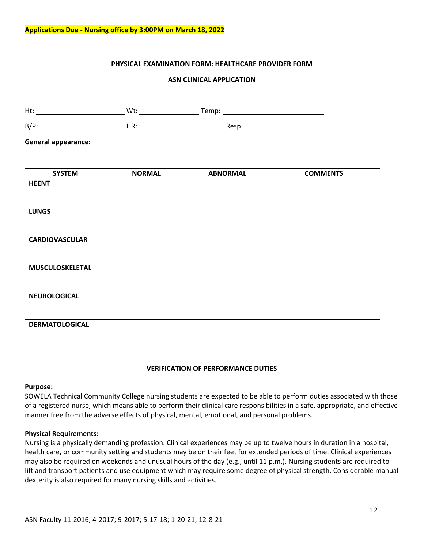#### **PHYSICAL EXAMINATION FORM: HEALTHCARE PROVIDER FORM**

#### **ASN CLINICAL APPLICATION**

Ht: Wt: Temp:

B/P: HR: Resp:

**General appearance:**

| <b>SYSTEM</b>         | <b>NORMAL</b> | <b>ABNORMAL</b> | <b>COMMENTS</b> |
|-----------------------|---------------|-----------------|-----------------|
| <b>HEENT</b>          |               |                 |                 |
|                       |               |                 |                 |
| <b>LUNGS</b>          |               |                 |                 |
|                       |               |                 |                 |
| <b>CARDIOVASCULAR</b> |               |                 |                 |
|                       |               |                 |                 |
| MUSCULOSKELETAL       |               |                 |                 |
|                       |               |                 |                 |
| <b>NEUROLOGICAL</b>   |               |                 |                 |
|                       |               |                 |                 |
| <b>DERMATOLOGICAL</b> |               |                 |                 |
|                       |               |                 |                 |

#### **VERIFICATION OF PERFORMANCE DUTIES**

#### **Purpose:**

SOWELA Technical Community College nursing students are expected to be able to perform duties associated with those of a registered nurse, which means able to perform their clinical care responsibilities in a safe, appropriate, and effective manner free from the adverse effects of physical, mental, emotional, and personal problems.

#### **Physical Requirements:**

Nursing is a physically demanding profession. Clinical experiences may be up to twelve hours in duration in a hospital, health care, or community setting and students may be on their feet for extended periods of time. Clinical experiences may also be required on weekends and unusual hours of the day (e.g., until 11 p.m.). Nursing students are required to lift and transport patients and use equipment which may require some degree of physical strength. Considerable manual dexterity is also required for many nursing skills and activities.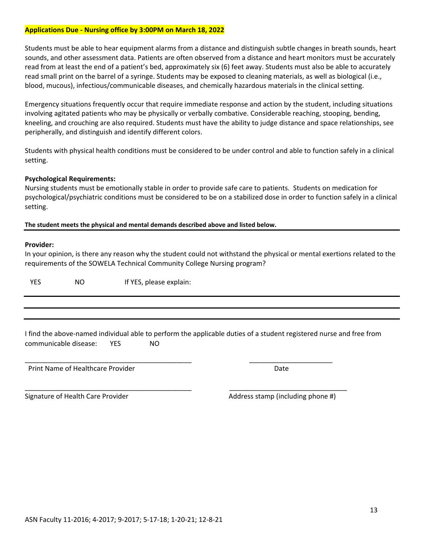Students must be able to hear equipment alarms from a distance and distinguish subtle changes in breath sounds, heart sounds, and other assessment data. Patients are often observed from a distance and heart monitors must be accurately read from at least the end of a patient's bed, approximately six (6) feet away. Students must also be able to accurately read small print on the barrel of a syringe. Students may be exposed to cleaning materials, as well as biological (i.e., blood, mucous), infectious/communicable diseases, and chemically hazardous materials in the clinical setting.

Emergency situations frequently occur that require immediate response and action by the student, including situations involving agitated patients who may be physically or verbally combative. Considerable reaching, stooping, bending, kneeling, and crouching are also required. Students must have the ability to judge distance and space relationships, see peripherally, and distinguish and identify different colors.

Students with physical health conditions must be considered to be under control and able to function safely in a clinical setting.

#### **Psychological Requirements:**

Nursing students must be emotionally stable in order to provide safe care to patients. Students on medication for psychological/psychiatric conditions must be considered to be on a stabilized dose in order to function safely in a clinical setting.

**The student meets the physical and mental demands described above and listed below.** 

#### **Provider:**

In your opinion, is there any reason why the student could not withstand the physical or mental exertions related to the requirements of the SOWELA Technical Community College Nursing program?

YES NO If YES, please explain:

|                       |            |     | I find the above-named individual able to perform the applicable duties of a student registered nurse and free from |
|-----------------------|------------|-----|---------------------------------------------------------------------------------------------------------------------|
| communicable disease: | <b>YES</b> | NO. |                                                                                                                     |

\_\_\_\_\_\_\_\_\_\_\_\_\_\_\_\_\_\_\_\_\_\_\_\_\_\_\_\_\_\_\_\_\_\_\_\_\_\_\_\_\_\_\_\_ \_\_\_\_\_\_\_\_\_\_\_\_\_\_\_\_\_\_\_\_\_\_

\_\_\_\_\_\_\_\_\_\_\_\_\_\_\_\_\_\_\_\_\_\_\_\_\_\_\_\_\_\_\_\_\_\_\_\_\_\_\_\_\_\_\_\_ \_\_\_\_\_\_\_\_\_\_\_\_\_\_\_\_\_\_\_\_\_\_\_\_\_\_\_\_\_\_\_

Print Name of Healthcare Provider **Date Accord Print Name of Healthcare Provider** Date

Signature of Health Care Provider Address stamp (including phone #)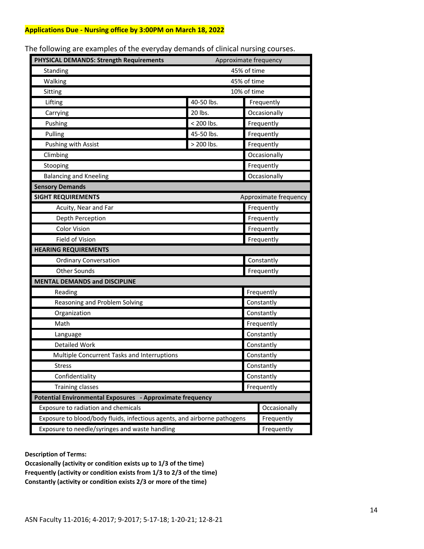| PHYSICAL DEMANDS: Strength Requirements                                  | Approximate frequency |            |                       |  |
|--------------------------------------------------------------------------|-----------------------|------------|-----------------------|--|
| Standing                                                                 | 45% of time           |            |                       |  |
| Walking                                                                  | 45% of time           |            |                       |  |
| Sitting                                                                  | 10% of time           |            |                       |  |
| Lifting                                                                  | 40-50 lbs.            |            | Frequently            |  |
| Carrying                                                                 | 20 lbs.               |            | Occasionally          |  |
| Pushing                                                                  | < 200 lbs.            |            | Frequently            |  |
| Pulling                                                                  | 45-50 lbs.            |            | Frequently            |  |
| <b>Pushing with Assist</b>                                               | > 200 lbs.            |            | Frequently            |  |
| Climbing                                                                 |                       |            | Occasionally          |  |
| Stooping                                                                 |                       |            | Frequently            |  |
| <b>Balancing and Kneeling</b>                                            |                       |            | Occasionally          |  |
| <b>Sensory Demands</b>                                                   |                       |            |                       |  |
| <b>SIGHT REQUIREMENTS</b>                                                |                       |            | Approximate frequency |  |
| Acuity, Near and Far                                                     |                       |            | Frequently            |  |
| Depth Perception                                                         |                       |            | Frequently            |  |
| <b>Color Vision</b>                                                      |                       |            | Frequently            |  |
| Field of Vision                                                          |                       |            | Frequently            |  |
| <b>HEARING REQUIREMENTS</b>                                              |                       |            |                       |  |
| <b>Ordinary Conversation</b>                                             |                       |            | Constantly            |  |
| <b>Other Sounds</b>                                                      |                       |            | Frequently            |  |
| <b>MENTAL DEMANDS and DISCIPLINE</b>                                     |                       |            |                       |  |
| Reading                                                                  |                       | Frequently |                       |  |
| Reasoning and Problem Solving                                            |                       |            | Constantly            |  |
| Organization                                                             |                       |            | Constantly            |  |
| Math                                                                     |                       |            | Frequently            |  |
| Language                                                                 |                       |            | Constantly            |  |
| <b>Detailed Work</b>                                                     |                       |            | Constantly            |  |
| Multiple Concurrent Tasks and Interruptions                              |                       |            | Constantly            |  |
| Stress                                                                   |                       |            | Constantly            |  |
| Confidentiality                                                          |                       |            | Constantly            |  |
| <b>Training classes</b>                                                  |                       |            | Frequently            |  |
| Potential Environmental Exposures - Approximate frequency                |                       |            |                       |  |
| Exposure to radiation and chemicals                                      |                       |            | Occasionally          |  |
| Exposure to blood/body fluids, infectious agents, and airborne pathogens |                       |            | Frequently            |  |
| Exposure to needle/syringes and waste handling                           |                       |            | Frequently            |  |

The following are examples of the everyday demands of clinical nursing courses.

**Description of Terms:**

**Occasionally (activity or condition exists up to 1/3 of the time) Frequently (activity or condition exists from 1/3 to 2/3 of the time) Constantly (activity or condition exists 2/3 or more of the time)**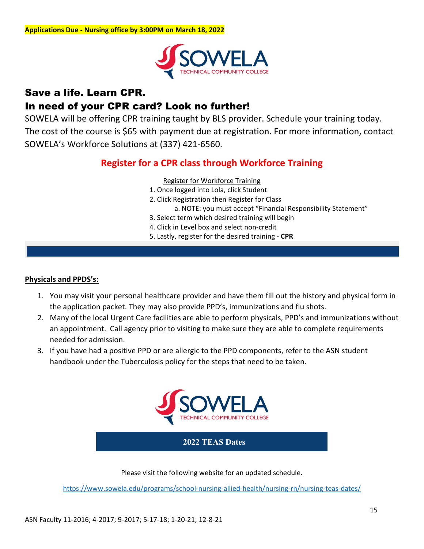

### Save a life. Learn CPR.

### In need of your CPR card? Look no further!

SOWELA will be offering CPR training taught by BLS provider. Schedule your training today. The cost of the course is \$65 with payment due at registration. For more information, contact SOWELA's Workforce Solutions at (337) 421-6560.

### **Register for a CPR class through Workforce Training**

#### Register for Workforce Training

- 1. Once logged into Lola, click Student
- 2. Click Registration then Register for Class

a. NOTE: you must accept "Financial Responsibility Statement"

- 3. Select term which desired training will begin
- 4. Click in Level box and select non-credit
- 5. Lastly, register for the desired training **CPR**

#### **Physicals and PPDS's:**

- 1. You may visit your personal healthcare provider and have them fill out the history and physical form in the application packet. They may also provide PPD's, immunizations and flu shots.
- 2. Many of the local Urgent Care facilities are able to perform physicals, PPD's and immunizations without an appointment. Call agency prior to visiting to make sure they are able to complete requirements needed for admission.
- 3. If you have had a positive PPD or are allergic to the PPD components, refer to the ASN student handbook under the Tuberculosis policy for the steps that need to be taken.



#### **2022 TEAS Dates**

Please visit the following website for an updated schedule.

<https://www.sowela.edu/programs/school-nursing-allied-health/nursing-rn/nursing-teas-dates/>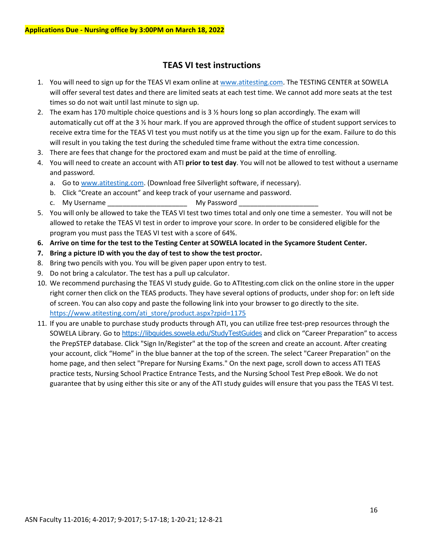#### **TEAS VI test instructions**

- 1. You will need to sign up for the TEAS VI exam online at [www.atitesting.com.](http://www.atitesting.com/) The TESTING CENTER at SOWELA will offer several test dates and there are limited seats at each test time. We cannot add more seats at the test times so do not wait until last minute to sign up.
- 2. The exam has 170 multiple choice questions and is 3 ½ hours long so plan accordingly. The exam will automatically cut off at the 3 ½ hour mark. If you are approved through the office of student support services to receive extra time for the TEAS VI test you must notify us at the time you sign up for the exam. Failure to do this will result in you taking the test during the scheduled time frame without the extra time concession.
- 3. There are fees that change for the proctored exam and must be paid at the time of enrolling.
- 4. You will need to create an account with ATI **prior to test day**. You will not be allowed to test without a username and password.
	- a. Go to [www.atitesting.com.](http://www.atitesting.com/) (Download free Silverlight software, if necessary).
	- b. Click "Create an account" and keep track of your username and password.
	- c. My Username **Example 20** and My Password
- 5. You will only be allowed to take the TEAS VI test two times total and only one time a semester. You will not be allowed to retake the TEAS VI test in order to improve your score. In order to be considered eligible for the program you must pass the TEAS VI test with a score of 64%.
- **6. Arrive on time for the test to the Testing Center at SOWELA located in the Sycamore Student Center.**
- **7. Bring a picture ID with you the day of test to show the test proctor.**
- 8. Bring two pencils with you. You will be given paper upon entry to test.
- 9. Do not bring a calculator. The test has a pull up calculator.
- 10. We recommend purchasing the TEAS VI study guide. Go to ATItesting.com click on the online store in the upper right corner then click on the TEAS products. They have several options of products, under shop for: on left side of screen. You can also copy and paste the following link into your browser to go directly to the site. [https://www.atitesting.com/ati\\_store/product.aspx?zpid=1175](https://www.atitesting.com/ati_store/product.aspx?zpid=1175)
- 11. If you are unable to purchase study products through ATI, you can utilize free test-prep resources through the SOWELA Library. Go to <https://libguides.sowela.edu/StudyTestGuides> and click on "Career Preparation" to access the PrepSTEP database. Click "Sign In/Register" at the top of the screen and create an account. After creating your account, click "Home" in the blue banner at the top of the screen. The select "Career Preparation" on the home page, and then select "Prepare for Nursing Exams." On the next page, scroll down to access ATI TEAS practice tests, Nursing School Practice Entrance Tests, and the Nursing School Test Prep eBook. We do not guarantee that by using either this site or any of the ATI study guides will ensure that you pass the TEAS VI test.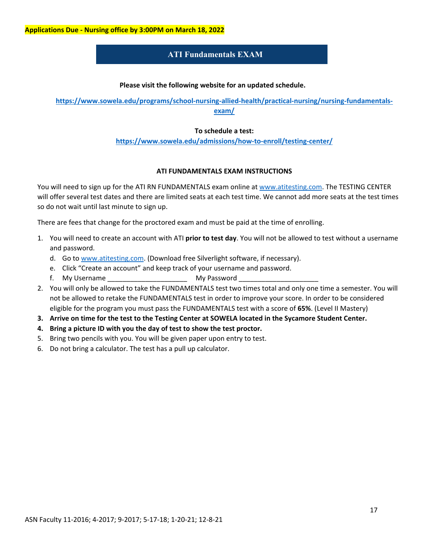#### **ATI Fundamentals EXAM**

#### **Please visit the following website for an updated schedule.**

**[https://www.sowela.edu/programs/school-nursing-allied-health/practical-nursing/nursing-fundamentals](https://www.sowela.edu/programs/school-nursing-allied-health/practical-nursing/nursing-fundamentals-exam/)[exam/](https://www.sowela.edu/programs/school-nursing-allied-health/practical-nursing/nursing-fundamentals-exam/)**

#### **To schedule a test:**

**<https://www.sowela.edu/admissions/how-to-enroll/testing-center/>**

#### **ATI FUNDAMENTALS EXAM INSTRUCTIONS**

You will need to sign up for the ATI RN FUNDAMENTALS exam online at [www.atitesting.com.](http://www.atitesting.com/) The TESTING CENTER will offer several test dates and there are limited seats at each test time. We cannot add more seats at the test times so do not wait until last minute to sign up.

There are fees that change for the proctored exam and must be paid at the time of enrolling.

- 1. You will need to create an account with ATI **prior to test day**. You will not be allowed to test without a username and password.
	- d. Go to [www.atitesting.com.](http://www.atitesting.com/) (Download free Silverlight software, if necessary).
	- e. Click "Create an account" and keep track of your username and password.
	- f. My Username \_\_\_\_\_\_\_\_\_\_\_\_\_\_\_\_\_\_\_\_\_\_\_\_\_\_\_ My Password \_\_\_\_\_\_\_
- 2. You will only be allowed to take the FUNDAMENTALS test two times total and only one time a semester. You will not be allowed to retake the FUNDAMENTALS test in order to improve your score. In order to be considered eligible for the program you must pass the FUNDAMENTALS test with a score of **65%**. (Level II Mastery)
- **3. Arrive on time for the test to the Testing Center at SOWELA located in the Sycamore Student Center.**
- **4. Bring a picture ID with you the day of test to show the test proctor.**
- 5. Bring two pencils with you. You will be given paper upon entry to test.
- 6. Do not bring a calculator. The test has a pull up calculator.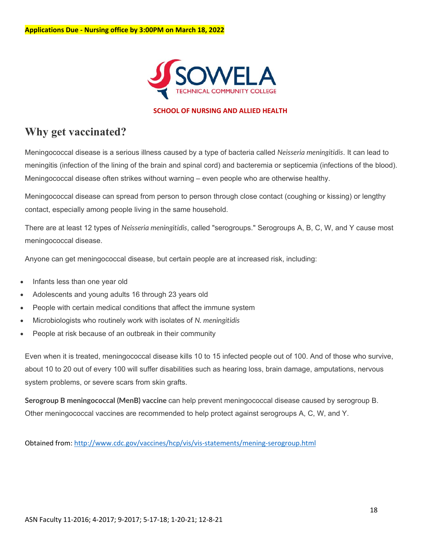

#### **SCHOOL OF NURSING AND ALLIED HEALTH**

## **Why get vaccinated?**

Meningococcal disease is a serious illness caused by a type of bacteria called *Neisseria meningitidis*. It can lead to meningitis (infection of the lining of the brain and spinal cord) and bacteremia or septicemia (infections of the blood). Meningococcal disease often strikes without warning – even people who are otherwise healthy.

Meningococcal disease can spread from person to person through close contact (coughing or kissing) or lengthy contact, especially among people living in the same household.

There are at least 12 types of *Neisseria meningitidis*, called "serogroups." Serogroups A, B, C, W, and Y cause most meningococcal disease.

Anyone can get meningococcal disease, but certain people are at increased risk, including:

- Infants less than one year old
- Adolescents and young adults 16 through 23 years old
- People with certain medical conditions that affect the immune system
- Microbiologists who routinely work with isolates of *N. meningitidis*
- People at risk because of an outbreak in their community

Even when it is treated, meningococcal disease kills 10 to 15 infected people out of 100. And of those who survive, about 10 to 20 out of every 100 will suffer disabilities such as hearing loss, brain damage, amputations, nervous system problems, or severe scars from skin grafts.

**Serogroup B meningococcal (MenB) vaccine** can help prevent meningococcal disease caused by serogroup B. Other meningococcal vaccines are recommended to help protect against serogroups A, C, W, and Y.

Obtained from:<http://www.cdc.gov/vaccines/hcp/vis/vis-statements/mening-serogroup.html>